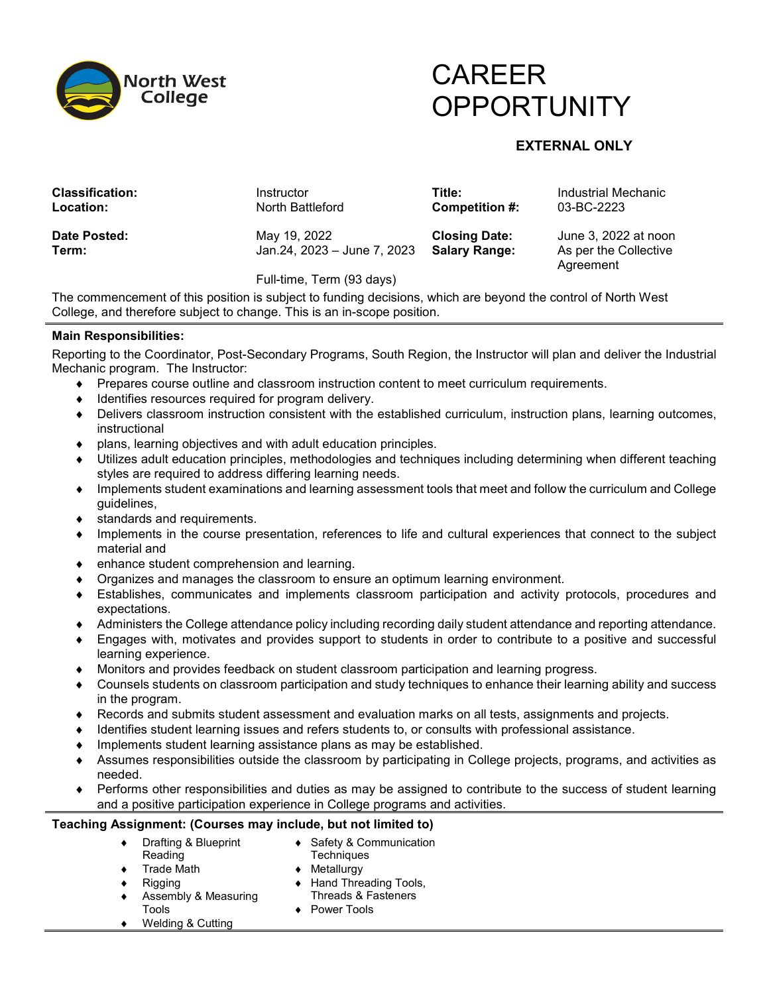

# CAREER **OPPORTUNITY**

# **EXTERNAL ONLY**

| <b>Classification:</b><br>Location: | Instructor<br>North Battleford              | Title:<br>Competition #:                     | Industrial Mechanic<br>03-BC-2223             |
|-------------------------------------|---------------------------------------------|----------------------------------------------|-----------------------------------------------|
| Date Posted:<br>Term:               | May 19, 2022<br>Jan.24, 2023 - June 7, 2023 | <b>Closing Date:</b><br><b>Salary Range:</b> | June 3, 2022 at noon<br>As per the Collective |
|                                     | Full-time, Term (93 days)                   |                                              | Agreement                                     |

The commencement of this position is subject to funding decisions, which are beyond the control of North West College, and therefore subject to change. This is an in-scope position.

## **Main Responsibilities:**

Reporting to the Coordinator, Post-Secondary Programs, South Region, the Instructor will plan and deliver the Industrial Mechanic program. The Instructor:

- ♦ Prepares course outline and classroom instruction content to meet curriculum requirements.
- ♦ Identifies resources required for program delivery.
- ♦ Delivers classroom instruction consistent with the established curriculum, instruction plans, learning outcomes, instructional
- ♦ plans, learning objectives and with adult education principles.
- ♦ Utilizes adult education principles, methodologies and techniques including determining when different teaching styles are required to address differing learning needs.
- ♦ Implements student examinations and learning assessment tools that meet and follow the curriculum and College guidelines,
- ♦ standards and requirements.
- ♦ Implements in the course presentation, references to life and cultural experiences that connect to the subject material and
- ♦ enhance student comprehension and learning.
- ♦ Organizes and manages the classroom to ensure an optimum learning environment.
- ♦ Establishes, communicates and implements classroom participation and activity protocols, procedures and expectations.
- ♦ Administers the College attendance policy including recording daily student attendance and reporting attendance.
- ♦ Engages with, motivates and provides support to students in order to contribute to a positive and successful learning experience.
- ♦ Monitors and provides feedback on student classroom participation and learning progress.
- ♦ Counsels students on classroom participation and study techniques to enhance their learning ability and success in the program.
- ♦ Records and submits student assessment and evaluation marks on all tests, assignments and projects.
- ♦ Identifies student learning issues and refers students to, or consults with professional assistance.
- ♦ Implements student learning assistance plans as may be established.
- ♦ Assumes responsibilities outside the classroom by participating in College projects, programs, and activities as needed.
- ♦ Performs other responsibilities and duties as may be assigned to contribute to the success of student learning and a positive participation experience in College programs and activities.

#### **Teaching Assignment: (Courses may include, but not limited to)**

- ♦ Drafting & Blueprint Reading
- ♦ Safety & Communication **Techniques**
- Trade Math

Rigging

- ♦ Metallurgy ♦ Hand Threading Tools,
- Threads & Fasteners
- Assembly & Measuring Tools
- ♦ Power Tools
- Welding & Cutting